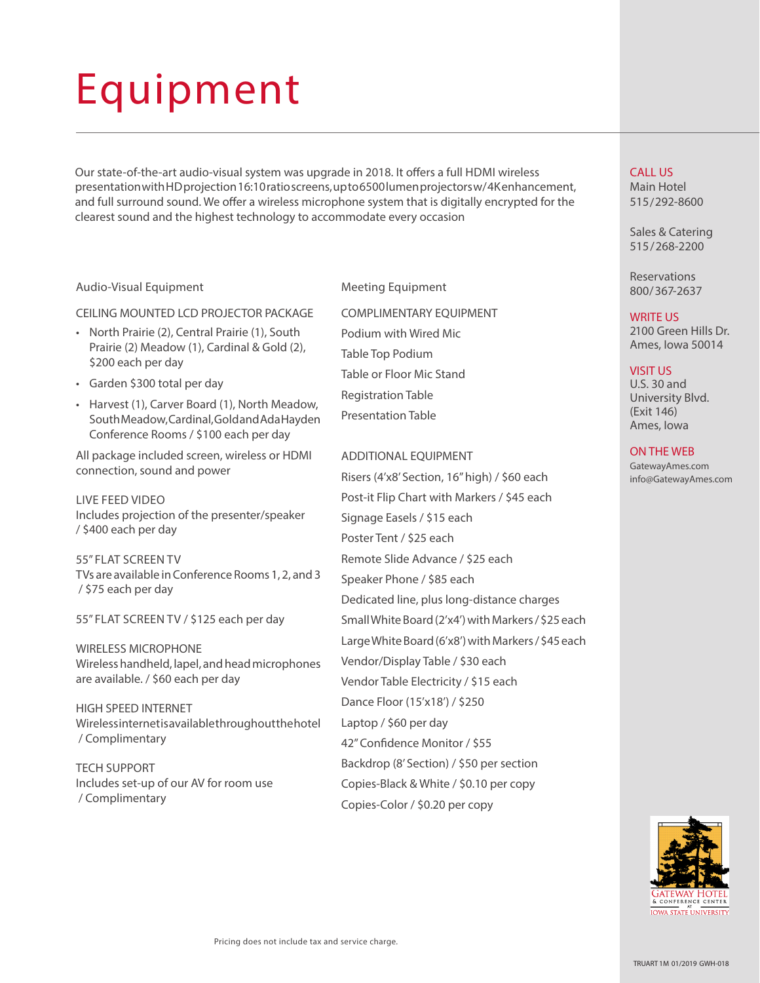# Equipment

Our state-of-the-art audio-visual system was upgrade in 2018. It offers a full HDMI wireless presentation with HD projection 16:10 ratio screens, up to 6500 lumen projectors w/ 4K enhancement, and full surround sound. We offer a wireless microphone system that is digitally encrypted for the clearest sound and the highest technology to accommodate every occasion

### Audio-Visual Equipment

#### CEILING MOUNTED LCD PROJECTOR PACKAGE

- North Prairie (2), Central Prairie (1), South Prairie (2) Meadow (1), Cardinal & Gold (2), \$200 each per day
- Garden \$300 total per day
- Harvest (1), Carver Board (1), North Meadow, South Meadow, Cardinal, Gold and Ada Hayden Conference Rooms / \$100 each per day

All package included screen, wireless or HDMI connection, sound and power

LIVE FEED VIDEO Includes projection of the presenter/speaker / \$400 each per day

55" FLAT SCREEN TV TVs are available in Conference Rooms 1, 2, and 3 / \$75 each per day

55" FLAT SCREEN TV / \$125 each per day

WIRELESS MICROPHONE Wireless handheld, lapel, and head microphones are available. / \$60 each per day

HIGH SPEED INTERNET Wireless internet is available throughout the hotel / Complimentary

TECH SUPPORT Includes set-up of our AV for room use / Complimentary

Meeting Equipment

COMPLIMENTARY EQUIPMENT Podium with Wired Mic Table Top Podium Table or Floor Mic Stand Registration Table Presentation Table

### ADDITIONAL EQUIPMENT

Risers (4'x8' Section, 16" high) / \$60 each Post-it Flip Chart with Markers / \$45 each Signage Easels / \$15 each Poster Tent / \$25 each Remote Slide Advance / \$25 each Speaker Phone / \$85 each Dedicated line, plus long-distance charges Small White Board (2'x4') with Markers / \$25 each Large White Board (6'x8') with Markers / \$45 each Vendor/Display Table / \$30 each Vendor Table Electricity / \$15 each Dance Floor (15'x18') / \$250 Laptop / \$60 per day 42" Confidence Monitor / \$55 Backdrop (8' Section) / \$50 per section Copies-Black & White / \$0.10 per copy Copies-Color / \$0.20 per copy

# CALL US

Main Hotel 515 /292-8600

Sales & Catering 515 /268-2200

Reservations 800 / 367-2637

#### WRITE US

2100 Green Hills Dr. Ames, Iowa 50014

# VISIT US

U.S. 30 and University Blvd. (Exit 146) Ames, Iowa

## ON THE WEB

GatewayAmes.com info@GatewayAmes.com